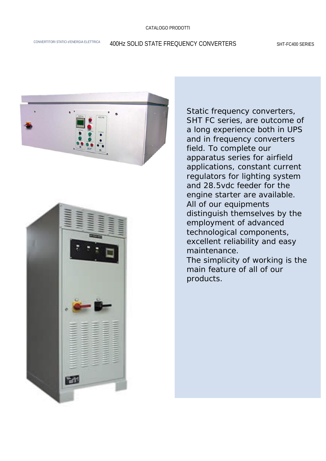#### CATALOGO PRODOTTI

# CONVERTITORI STATICI d'ENERGIA ELETTRICA 400HZ SOLID STATE FREQUENCY CONVERTERS SHT-FC400 SERIES





Static frequency converters, SHT FC series, are outcome of a long experience both in UPS a long experience both in UPS<br>and in frequency converters field. To complete our apparatus series for airfield applications, constant current regulators for lighting system and 28.5vdc feeder for the engine starter are available. All of our equipments distinguish themselves by the excellent reliability and easy si distinguono per l'impiego di per l'impiego di per l'impiego di per l'impiego di per l'impiego di per l'impi<br>Si di per l'impiego di per l'impiego di per l'impiego di per l'impiego di per l'impiego di per l'impiego di pe employment of advanced technological components,

The simplicity of working is the main feature of all of our products. E per la semplice est est electronic products in the perturbation of  $\mathcal{C}$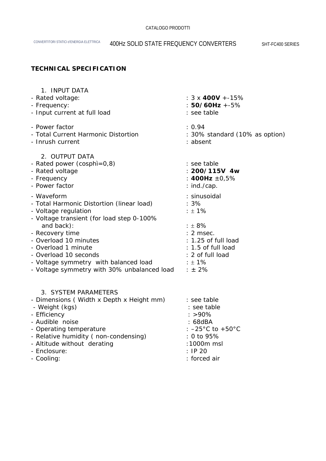## **TECHNICAL SPECIFICATION**

| 1. INPUT DATA<br>- Rated voltage:<br>- Frequency:<br>- Input current at full load<br>- Power factor<br>- Total Current Harmonic Distortion<br>- Inrush current                                                                                                                                                                           | : $3 \times 400V + -15\%$<br>$: 50/60Hz + -5%$<br>: see table<br>: 0.94<br>: 30% standard (10% as option)<br>: absent                                    |
|------------------------------------------------------------------------------------------------------------------------------------------------------------------------------------------------------------------------------------------------------------------------------------------------------------------------------------------|----------------------------------------------------------------------------------------------------------------------------------------------------------|
| 2. OUTPUT DATA<br>- Rated power (cosphi=0,8)<br>- Rated voltage<br>- Frequency<br>- Power factor                                                                                                                                                                                                                                         | : see table<br>$: 200/115V$ 4w<br>: 400Hz $\pm 0.5\%$<br>$:$ ind./cap.                                                                                   |
| - Waveform<br>- Total Harmonic Distortion (linear load)<br>- Voltage regulation<br>- Voltage transient (for load step 0-100%<br>and back):<br>- Recovery time<br>- Overload 10 minutes<br>- Overload 1 minute<br>- Overload 10 seconds<br>- Voltage symmetry with balanced load<br>- Voltage symmetry with 30% unbalanced load $\pm 2\%$ | : sinusoidal<br>$:3\%$<br>$: 1\%$<br>: 18%<br>$: 2$ msec.<br>: 1.25 of full load<br>: 1.5 of full load<br>: 2 of full load<br>$\pm 1\%$                  |
| 3. SYSTEM PARAMETERS<br>- Dimensions (Width x Depth x Height mm)<br>- Weight (kgs)<br>- Efficiency<br>- Audible noise<br>- Operating temperature<br>- Relative humidity (non-condensing)<br>- Altitude without derating<br>- Enclosure:<br>- Cooling:                                                                                    | see table : :<br>: see table<br>$: >90\%$<br>$: 68$ d $BA$<br>: $-25^{\circ}$ C to $+50^{\circ}$ C<br>: 0 to 95%<br>:1000m msl<br>: IP20<br>: forced air |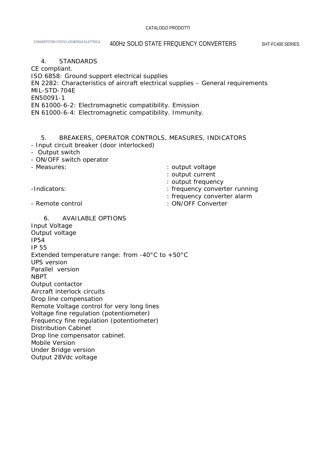#### 4. STANDARDS

CE compliant.

ISO 6858: Ground support electrical supplies

EN 2282: Characteristics of aircraft electrical supplies – General requirements MIL-STD-704E

EN50091-1

EN 61000-6-2: Electromagnetic compatibility. Emission

EN 61000-6-4: Electromagnetic compatibility. Immunity.

### 5. BREAKERS, OPERATOR CONTROLS, MEASURES, INDICATORS

- Input circuit breaker (door interlocked)

- Output switch
- ON/OFF switch operator

| - Measures:      | : output voltage              |
|------------------|-------------------------------|
|                  | : output current              |
|                  | : output frequency            |
| -Indicators:     | : frequency converter running |
|                  | : frequency converter alarm   |
| - Remote control | : ON/OFF Converter            |

 6. AVAILABLE OPTIONS Input Voltage Output voltage IP54 IP 55 Extended temperature range: from -40°C to +50°C UPS version Parallel version NBPT Output contactor Aircraft interlock circuits Drop line compensation Remote Voltage control for very long lines Voltage fine regulation (potentiometer) Frequency fine regulation (potentiometer) Distribution Cabinet Drop line compensator cabinet. Mobile Version Under Bridge version Output 28Vdc voltage